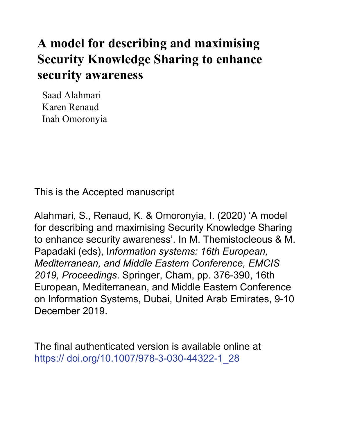# **A model for describing and maximising Security Knowledge Sharing to enhance security awareness**

Saad Alahmari Karen Renaud Inah Omoronyia

This is the Accepted manuscript

Alahmari, S., Renaud, K. & Omoronyia, I. (2020) 'A model for describing and maximising Security Knowledge Sharing to enhance security awareness'. In M. Themistocleous & M. Papadaki (eds), I*nformation systems: 16th European, Mediterranean, and Middle Eastern Conference, EMCIS 2019, Proceedings*. Springer, Cham, pp. 376-390, 16th European, Mediterranean, and Middle Eastern Conference on Information Systems, Dubai, United Arab Emirates, 9-10 December 2019.

The final authenticated version is available online at [https:// doi.org/10.1007/978-3-030-44322-1\\_28](https://doi.org/10.1007/978-3-030-44322-1_28)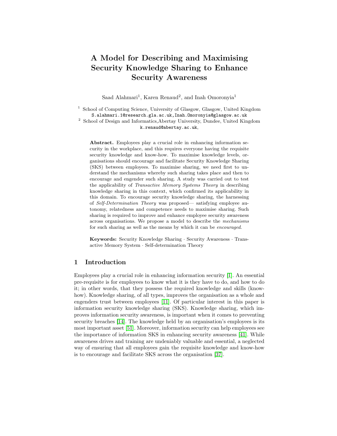# A Model for Describing and Maximising Security Knowledge Sharing to Enhance Security Awareness

Saad Alahmari<sup>1</sup>, Karen Renaud<sup>2</sup>, and Inah Omoronyia<sup>1</sup>

<sup>1</sup> School of Computing Science, University of Glasgow, Glasgow, United Kingdom S.alahmari.1@research.gla.ac.uk,Inah.Omoronyia@glasgow.ac.uk

<sup>2</sup> School of Design and Informatics,Abertay University, Dundee, United Kingdom k.renaud@abertay.ac.uk,

Abstract. Employees play a crucial role in enhancing information security in the workplace, and this requires everyone having the requisite security knowledge and know-how. To maximise knowledge levels, organisations should encourage and facilitate Security Knowledge Sharing (SKS) between employees. To maximise sharing, we need first to understand the mechanisms whereby such sharing takes place and then to encourage and engender such sharing. A study was carried out to test the applicability of Transactive Memory Systems Theory in describing knowledge sharing in this context, which confirmed its applicability in this domain. To encourage security knowledge sharing, the harnessing of Self-Determination Theory was proposed— satisfying employee autonomy, relatedness and competence needs to maximise sharing. Such sharing is required to improve and enhance employee security awareness across organisations. We propose a model to describe the mechanisms for such sharing as well as the means by which it can be encouraged.

Keywords: Security Knowledge Sharing · Security Awareness · Transactive Memory System · Self-determination Theory

# 1 Introduction

Employees play a crucial role in enhancing information security [\[1\]](#page-12-0). An essential pre-requisite is for employees to know what it is they have to do, and how to do it; in other words, that they possess the required knowledge and skills (knowhow). Knowledge sharing, of all types, improves the organisation as a whole and engenders trust between employees [\[11\]](#page-13-0). Of particular interest in this paper is information security knowledge sharing (SKS). Knowledge sharing, which improves information security awareness, is important when it comes to preventing security breaches [\[14\]](#page-13-1). The knowledge held by an organisation's employees is its most important asset [\[51\]](#page-15-0). Moreover, information security can help employees see the importance of information SKS in enhancing security awareness [\[41\]](#page-15-1). While awareness drives and training are undeniably valuable and essential, a neglected way of ensuring that all employees gain the requisite knowledge and know-how is to encourage and facilitate SKS across the organisation [\[37\]](#page-14-0).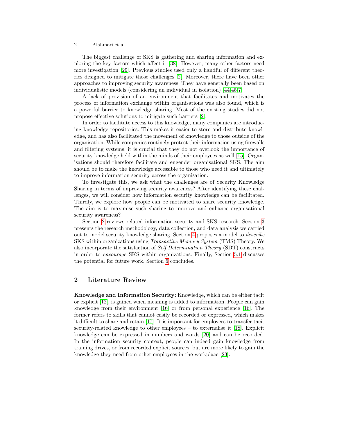The biggest challenge of SKS is gathering and sharing information and exploring the key factors which affect it [\[38\]](#page-14-1). However, many other factors need more investigation [\[29\]](#page-14-2). Previous studies used only a handful of different theories designed to mitigate those challenges [\[2\]](#page-12-1). Moreover, there have been other approaches to improving security awareness. They have generally been based on individualistic models (considering an individual in isolation) [\[44,](#page-15-2)[45,](#page-15-3)[7\]](#page-13-2)

A lack of provision of an environment that facilitates and motivates the process of information exchange within organisations was also found, which is a powerful barrier to knowledge sharing. Most of the existing studies did not propose effective solutions to mitigate such barriers [\[2\]](#page-12-1).

In order to facilitate access to this knowledge, many companies are introducing knowledge repositories. This makes it easier to store and distribute knowledge, and has also facilitated the movement of knowledge to those outside of the organisation. While companies routinely protect their information using firewalls and filtering systems, it is crucial that they do not overlook the importance of security knowledge held within the minds of their employees as well [\[15\]](#page-13-3). Organisations should therefore facilitate and engender organisational SKS. The aim should be to make the knowledge accessible to those who need it and ultimately to improve information security across the organisation.

To investigate this, we ask what the challenges are of Security Knowledge Sharing in terms of improving security awareness? After identifying these challenges, we will consider how information security knowledge can be facilitated. Thirdly, we explore how people can be motivated to share security knowledge. The aim is to maximise such sharing to improve and enhance organisational security awareness?

Section [2](#page-2-0) reviews related information security and SKS research. Section [3](#page-4-0) presents the research methodology, data collection, and data analysis we carried out to model security knowledge sharing. Section [4](#page-7-0) proposes a model to describe SKS within organizations using Transactive Memory System (TMS) Theory. We also incorporate the satisfaction of Self Determination Theory (SDT) constructs in order to encourage SKS within organizations. Finally, Section [5.1](#page-12-2) discusses the potential for future work. Section [6](#page-12-3) concludes.

# <span id="page-2-0"></span>2 Literature Review

Knowledge and Information Security: Knowledge, which can be either tacit or explicit [\[12\]](#page-13-4), is gained when meaning is added to information. People can gain knowledge from their environment [\[16\]](#page-13-5) or from personal experience [\[16\]](#page-13-5). The former refers to skills that cannot easily be recorded or expressed, which makes it difficult to share and retain [\[17\]](#page-13-6). It is important for employees to transfer tacit security-related knowledge to other employees – to externalise it [\[18\]](#page-13-7). Explicit knowledge can be expressed in numbers and words [\[20\]](#page-13-8) and can be recorded. In the information security context, people can indeed gain knowledge from training drives, or from recorded explicit sources, but are more likely to gain the knowledge they need from other employees in the workplace [\[23\]](#page-14-3).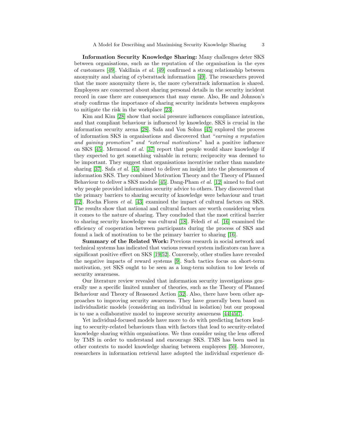Information Security Knowledge Sharing: Many challenges deter SKS between organisations, such as the reputation of the organisation in the eyes of customers [\[49\]](#page-15-4). Vakilinia et al. [\[49\]](#page-15-4) confirmed a strong relationship between anonymity and sharing of cyberattack information [\[49\]](#page-15-4). The researchers proved that the more anonymity there is, the more cyberattack information is shared. Employees are concerned about sharing personal details in the security incident record in case there are consequences that may ensue. Also, He and Johnson's study confirms the importance of sharing security incidents between employees to mitigate the risk in the workplace [\[23\]](#page-14-3).

Kim and Kim [\[28\]](#page-14-4) show that social pressure influences compliance intention, and that compliant behaviour is influenced by knowledge. SKS is crucial in the information security arena [\[28\]](#page-14-4). Safa and Von Solms [\[45\]](#page-15-3) explored the process of information SKS in organisations and discovered that "earning a reputation and gaining promotion" and "external motivations" had a positive influence on SKS [\[45\]](#page-15-3). Mermoud et al. [\[37\]](#page-14-0) report that people would share knowledge if they expected to get something valuable in return; reciprocity was deemed to be important. They suggest that organisations incentivise rather than mandate sharing [\[37\]](#page-14-0). Safa et al. [\[45\]](#page-15-3) aimed to deliver an insight into the phenomenon of information SKS. They combined Motivation Theory and the Theory of Planned Behaviour to deliver a SKS module [\[45\]](#page-15-3). Dang-Pham et al. [\[12\]](#page-13-4) aimed to find out why people provided information security advice to others. They discovered that the primary barriers to sharing security of knowledge were behaviour and trust [\[12\]](#page-13-4). Rocha Flores et al. [\[43\]](#page-15-5) examined the impact of cultural factors on SKS. The results show that national and cultural factors are worth considering when it comes to the nature of sharing. They concluded that the most critical barrier to sharing security knowledge was cultural [\[18\]](#page-13-7). Feledi et al. [\[16\]](#page-13-5) examined the efficiency of cooperation between participants during the process of SKS and found a lack of motivation to be the primary barrier to sharing [\[16\]](#page-13-5).

Summary of the Related Work: Previous research in social network and technical systems has indicated that various reward system indicators can have a significant positive effect on SKS [\[19](#page-13-9)[,52\]](#page-15-6). Conversely, other studies have revealed the negative impacts of reward systems [\[9\]](#page-13-10). Such tactics focus on short-term motivation, yet SKS ought to be seen as a long-term solution to low levels of security awareness.

Our literature review revealed that information security investigations generally use a specific limited number of theories, such as the Theory of Planned Behaviour and Theory of Reasoned Action [\[32\]](#page-14-5). Also, there have been other approaches to improving security awareness. They have generally been based on individualistic models (considering an individual in isolation) but our proposal is to use a collaborative model to improve security awareness [\[44,](#page-15-2)[45,](#page-15-3)[7\]](#page-13-2).

Yet individual-focused models have more to do with predicting factors leading to security-related behaviours than with factors that lead to security-related knowledge sharing within organisations. We thus consider using the lens offered by TMS in order to understand and encourage SKS. TMS has been used in other contexts to model knowledge sharing between employees [\[50\]](#page-15-7). Moreover, researchers in information retrieval have adopted the individual experience di-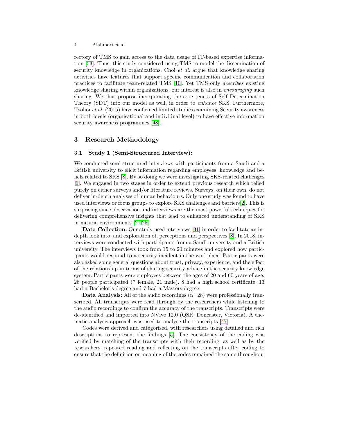rectory of TMS to gain access to the data usage of IT-based expertise information [\[53\]](#page-15-8). Thus, this study considered using TMS to model the dissemination of security knowledge in organizations. Choi *et al.* argue that knowledge sharing activities have features that support specific communication and collaboration practices to facilitate team-related TMS [\[10\]](#page-13-11). Yet TMS only describes existing knowledge sharing within organizations; our interest is also in encouraging such sharing. We thus propose incorporating the core tenets of Self Determination Theory (SDT) into our model as well, in order to enhance SKS. Furthermore, Tsohouet al. (2015) have confirmed limited studies examining Security awareness in both levels (organisational and individual level) to have effective information security awareness programmes [\[48\]](#page-15-9).

## <span id="page-4-0"></span>3 Research Methodology

#### 3.1 Study 1 (Semi-Structured Interview):

We conducted semi-structured interviews with participants from a Saudi and a British university to elicit information regarding employees' knowledge and beliefs related to SKS [\[8\]](#page-13-12). By so doing we were investigating SKS-related challenges [\[6\]](#page-13-13). We engaged in two stages in order to extend previous research which relied purely on either surveys and/or literature reviews. Surveys, on their own, do not deliver in-depth analyses of human behaviours. Only one study was found to have used interviews or focus groups to explore SKS challenges and barriers[\[2\]](#page-12-1). This is surprising since observation and interviews are the most powerful techniques for delivering comprehensive insights that lead to enhanced understanding of SKS in natural environments [\[21](#page-14-6)[,25\]](#page-14-7).

Data Collection: Our study used interviews [\[31\]](#page-14-8) in order to facilitate an indepth look into, and exploration of, perceptions and perspectives [\[8\]](#page-13-12). In 2018, interviews were conducted with participants from a Saudi university and a British university. The interviews took from 15 to 20 minutes and explored how participants would respond to a security incident in the workplace. Participants were also asked some general questions about trust, privacy, experience, and the effect of the relationship in terms of sharing security advice in the security knowledge system. Participants were employees between the ages of 20 and 60 years of age. 28 people participated (7 female, 21 male). 8 had a high school certificate, 13 had a Bachelor's degree and 7 had a Masters degree.

**Data Analysis:** All of the audio recordings  $(n=28)$  were professionally transcribed. All transcripts were read through by the researchers while listening to the audio recordings to confirm the accuracy of the transcripts. Transcripts were de-identified and imported into NVivo 12.0 (QSR, Doncaster, Victoria). A thematic analysis approach was used to analyse the transcripts [\[47\]](#page-15-10).

Codes were derived and categorised, with researchers using detailed and rich descriptions to represent the findings [\[5\]](#page-13-14). The consistency of the coding was verified by matching of the transcripts with their recording, as well as by the researchers' repeated reading and reflecting on the transcripts after coding to ensure that the definition or meaning of the codes remained the same throughout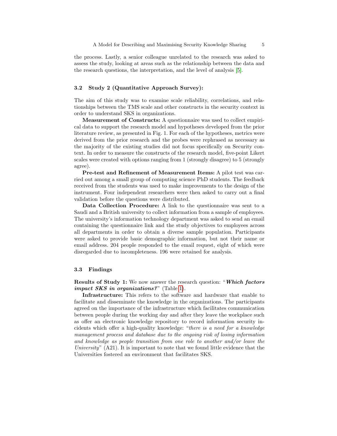the process. Lastly, a senior colleague unrelated to the research was asked to assess the study, looking at areas such as the relationship between the data and the research questions, the interpretation, and the level of analysis [\[5\]](#page-13-14).

#### 3.2 Study 2 (Quantitative Approach Survey):

The aim of this study was to examine scale reliability, correlations, and relationships between the TMS scale and other constructs in the security context in order to understand SKS in organizations.

Measurement of Constructs: A questionnaire was used to collect empirical data to support the research model and hypotheses developed from the prior literature review, as presented in Fig. 1. For each of the hypotheses, metrics were derived from the prior research and the probes were rephrased as necessary as the majority of the existing studies did not focus specifically on Security context. In order to measure the constructs of the research model, five-point Likert scales were created with options ranging from 1 (strongly disagree) to 5 (strongly agree).

Pre-test and Refinement of Measurement Items: A pilot test was carried out among a small group of computing science PhD students. The feedback received from the students was used to make improvements to the design of the instrument. Four independent researchers were then asked to carry out a final validation before the questions were distributed.

Data Collection Procedure: A link to the questionnaire was sent to a Saudi and a British university to collect information from a sample of employees. The university's information technology department was asked to send an email containing the questionnaire link and the study objectives to employees across all departments in order to obtain a diverse sample population. Participants were asked to provide basic demographic information, but not their name or email address. 204 people responded to the email request, eight of which were disregarded due to incompleteness. 196 were retained for analysis.

#### 3.3 Findings

Results of Study 1: We now answer the research question: "Which factors impact SKS in organizations?" (Table [1\)](#page-6-0).

Infrastructure: This refers to the software and hardware that enable to facilitate and disseminate the knowledge in the organizations. The participants agreed on the importance of the infrastructure which facilitates communication between people during the working day and after they leave the workplace such as offer an electronic knowledge repository to record information security incidents which offer a high-quality knowledge: "there is a need for a knowledge management process and database due to the ongoing risk of losing information and knowledge as people transition from one role to another and/or leave the University"  $(A21)$ . It is important to note that we found little evidence that the Universities fostered an environment that facilitates SKS.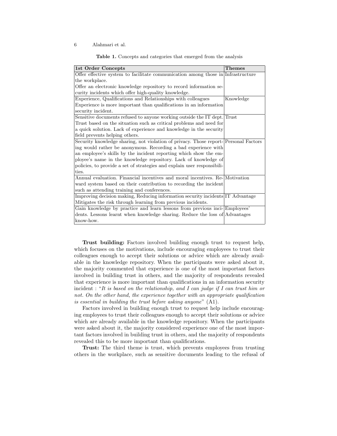<span id="page-6-0"></span>

|  |  |  |  | Table 1. Concepts and categories that emerged from the analysis |  |  |  |  |  |  |
|--|--|--|--|-----------------------------------------------------------------|--|--|--|--|--|--|
|--|--|--|--|-----------------------------------------------------------------|--|--|--|--|--|--|

| 1st Order Concepts                                                                  | <b>Themes</b> |
|-------------------------------------------------------------------------------------|---------------|
| Offer effective system to facilitate communication among those in Infrastructure    |               |
| the workplace.                                                                      |               |
| Offer an electronic knowledge repository to record information se-                  |               |
| curity incidents which offer high-quality knowledge.                                |               |
| Experience, Qualifications and Relationships with colleagues                        | Knowledge     |
| Experience is more important than qualifications in an information                  |               |
| security incident.                                                                  |               |
| Sensitive documents refused to anyone working outside the IT dept. Trust            |               |
| Trust based on the situation such as critical problems and need for                 |               |
| a quick solution. Lack of experience and knowledge in the security                  |               |
| field prevents helping others.                                                      |               |
| Security knowledge sharing, not violation of privacy. Those report-Personal Factors |               |
| ing would rather be anonymous. Recording a bad experience with                      |               |
| an employee's skills by the incident reporting which show the em-                   |               |
| ployee's name in the knowledge repository. Lack of knowledge of                     |               |
| policies, to provide a set of strategies and explain user responsibili-             |               |
| ties.                                                                               |               |
| Annual evaluation. Financial incentives and moral incentives. Re-Motivation         |               |
| ward system based on their contribution to recording the incident                   |               |
| such as attending training and conferences.                                         |               |
| Improving decision making, Reducing information security incidents IT Advantage     |               |
| Mitigates the risk through learning from previous incidents.                        |               |
| Gain knowledge by practice and learn lessons from previous inci-Employees'          |               |
| dents. Lessons learnt when knowledge sharing. Reduce the loss of Advantages         |               |
| know-how.                                                                           |               |
|                                                                                     |               |

Trust building: Factors involved building enough trust to request help, which focuses on the motivations, include encouraging employees to trust their colleagues enough to accept their solutions or advice which are already available in the knowledge repository. When the participants were asked about it, the majority commented that experience is one of the most important factors involved in building trust in others, and the majority of respondents revealed that experience is more important than qualifications in an information security incident : "It is based on the relationship, and I can judge if I can trust him or not. On the other hand, the experience together with an appropriate qualification is essential in building the trust before asking anyone" (A1).

Factors involved in building enough trust to request help include encouraging employees to trust their colleagues enough to accept their solutions or advice which are already available in the knowledge repository. When the participants were asked about it, the majority considered experience one of the most important factors involved in building trust in others, and the majority of respondents revealed this to be more important than qualifications.

Trust: The third theme is trust, which prevents employees from trusting others in the workplace, such as sensitive documents leading to the refusal of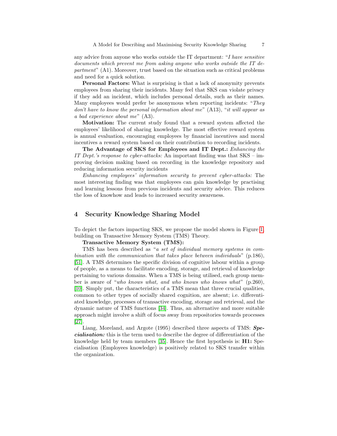any advice from anyone who works outside the IT department: "I have sensitive documents which prevent me from asking anyone who works outside the IT department" (A1). Moreover, trust based on the situation such as critical problems and need for a quick solution.

Personal Factors: What is surprising is that a lack of anonymity prevents employees from sharing their incidents. Many feel that SKS can violate privacy if they add an incident, which includes personal details, such as their names. Many employees would prefer be anonymous when reporting incidents: "They don't have to know the personal information about me" (A13), "it will appear as a bad experience about me" (A3).

Motivation: The current study found that a reward system affected the employees' likelihood of sharing knowledge. The most effective reward system is annual evaluation, encouraging employees by financial incentives and moral incentives a reward system based on their contribution to recording incidents.

The Advantage of SKS for Employees and IT Dept.: Enhancing the IT Dept.'s response to cyber-attacks: An important finding was that SKS – improving decision making based on recording in the knowledge repository and reducing information security incidents

Enhancing employees' information security to prevent cyber-attacks: The most interesting finding was that employees can gain knowledge by practising and learning lessons from previous incidents and security advice. This reduces the loss of knowhow and leads to increased security awareness.

# <span id="page-7-0"></span>4 Security Knowledge Sharing Model

To depict the factors impacting SKS, we propose the model shown in Figure [1,](#page-8-0) building on Transactive Memory System (TMS) Theory.

#### Transactive Memory System (TMS):

TMS has been described as "a set of individual memory systems in combination with the communication that takes place between individuals"  $(p.186)$ , [\[51\]](#page-15-0). A TMS determines the specific division of cognitive labour within a group of people, as a means to facilitate encoding, storage, and retrieval of knowledge pertaining to various domains. When a TMS is being utilised, each group member is aware of "who knows what, and who knows who knows what" (p.260), [\[10\]](#page-13-11). Simply put, the characteristics of a TMS mean that three crucial qualities, common to other types of socially shared cognition, are absent; i.e. differentiated knowledge, processes of transactive encoding, storage and retrieval, and the dynamic nature of TMS functions [\[34\]](#page-14-9). Thus, an alternative and more suitable approach might involve a shift of focus away from repositories towards processes [\[27\]](#page-14-10).

Liang, Moreland, and Argote (1995) described three aspects of TMS: Specialisation: this is the term used to describe the degree of differentiation of the knowledge held by team members [\[35\]](#page-14-11). Hence the first hypothesis is: H1: Specialisation (Employees knowledge) is positively related to SKS transfer within the organization.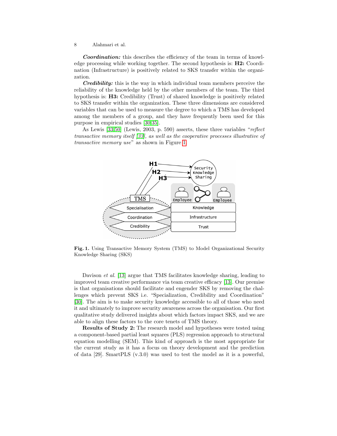Coordination: this describes the efficiency of the team in terms of knowledge processing while working together. The second hypothesis is: H2: Coordination (Infrastructure) is positively related to SKS transfer within the organization.

**Credibility:** this is the way in which individual team members perceive the reliability of the knowledge held by the other members of the team. The third hypothesis is: H3: Credibility (Trust) of shared knowledge is positively related to SKS transfer within the organization. These three dimensions are considered variables that can be used to measure the degree to which a TMS has developed among the members of a group, and they have frequently been used for this purpose in empirical studies [\[30,](#page-14-12)[35\]](#page-14-11).

As Lewis [\[33,](#page-14-13)[50\]](#page-15-7) (Lewis, 2003, p. 590) asserts, these three variables "reflect transactive memory itself [\[33\]](#page-14-13), as well as the cooperative processes illustrative of transactive memory use" as shown in Figure [1.](#page-8-0)



<span id="page-8-0"></span>Fig. 1. Using Transactive Memory System (TMS) to Model Organizational Security Knowledge Sharing (SKS)

Davison *et al.* [\[13\]](#page-13-15) argue that TMS facilitates knowledge sharing, leading to improved team creative performance via team creative efficacy [\[13\]](#page-13-15). Our premise is that organisations should facilitate and engender SKS by removing the challenges which prevent SKS i.e. "Specialization, Credibility and Coordination" [\[30\]](#page-14-12). The aim is to make security knowledge accessible to all of those who need it and ultimately to improve security awareness across the organisation. Our first qualitative study delivered insights about which factors impact SKS, and we are able to align these factors to the core tenets of TMS theory.

Results of Study 2: The research model and hypotheses were tested using a component-based partial least squares (PLS) regression approach to structural equation modelling (SEM). This kind of approach is the most appropriate for the current study as it has a focus on theory development and the prediction of data [29]. SmartPLS (v.3.0) was used to test the model as it is a powerful,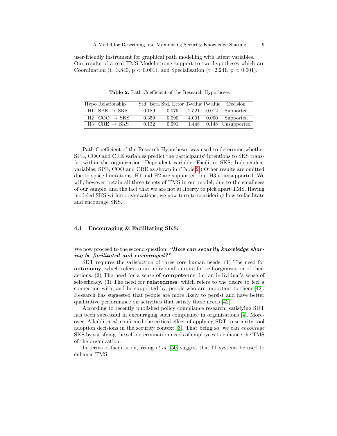user-friendly instrument for graphical path modelling with latent variables. Our results of a real TMS Model strong support to two hypotheses which are Coordination (t=3.840,  $p < 0.001$ ), and Specialisation (t=2.241,  $p < 0.001$ ).

Hypo Relationship Std. Beta Std. Error T-value P-value Decision  $H1$  SPE  $\rightarrow$  SKS 0.189 0.075 2.521 0.012 Supported H2 COO → SKS 0.359 0.090 4.001 0.000 Supported H3 CRE → SKS  $0.132$   $0.091$   $1.448$   $0.148$  Unsupported

<span id="page-9-0"></span>Table 2. Path Coefficient of the Research Hypotheses

Path Coefficient of the Research Hypotheses was used to determine whether SPE, COO and CRE variables predict the participants' intentions to SKS transfer within the organization. Dependent variable: Facilities SKS; Independent variables: SPE, COO and CRE as shown in (Table [2.](#page-9-0)) Other results are omitted due to space limitations. H1 and H2 are supported, but H3 is unsupported. We will, however, retain all three tenets of TMS in our model, due to the smallness of our sample, and the fact that we are not at liberty to pick apart TMS. Having modeled SKS within organizations, we now turn to considering how to facilitate and encourage SKS.

#### 4.1 Encouraging & Facilitating SKS:

We now proceed to the second question: "How can security knowledge sharing be facilitated and encouraged?"

SDT requires the satisfaction of three core human needs. (1) The need for autonomy, which refers to an individual's desire for self-organisation of their actions. (2) The need for a sense of competence, i.e. an individual's sense of self-efficacy. (3) The need for relatedness, which refers to the desire to feel a connection with, and be supported by, people who are important to them [\[42\]](#page-15-11). Research has suggested that people are more likely to persist and have better qualitative performance on activities that satisfy these needs [\[42\]](#page-15-11).

According to recently published policy compliance research, satisfying SDT has been successful in encouraging such compliance in organisations [\[4\]](#page-13-16). Moreover, Alkaldi et al. confirmed the critical effect of applying SDT to security tool adoption decisions in the security context [\[3\]](#page-12-4). That being so, we can encourage SKS by satisfying the self-determination needs of employees to enhance the TMS of the organization.

In terms of facilitation, Wang *et al.* [\[50\]](#page-15-7) suggest that IT systems be used to enhance TMS.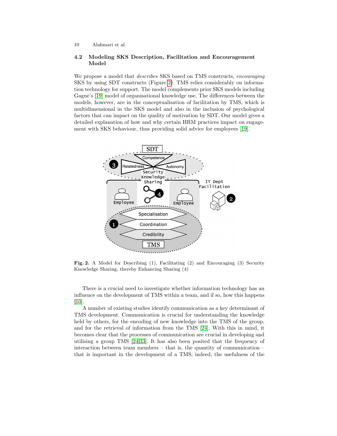# 4.2 Modeling SKS Description, Facilitation and Encouragement Model

We propose a model that *describes* SKS based on TMS constructs, *encouraging* SKS by using SDT constructs (Figure [2\)](#page-10-0). TMS relies considerably on information technology for support. The model complements prior SKS models including Gagne's [\[19\]](#page-13-9) model of organisational knowledge use. The differences between the models, however, are in the conceptualisation of facilitation by TMS, which is multidimensional in the SKS model and also in the inclusion of psychological factors that can impact on the quality of motivation by SDT. Our model gives a detailed explanation of how and why certain HRM practices impact on engagement with SKS behaviour, thus providing solid advice for employees [\[19\]](#page-13-9).



<span id="page-10-0"></span>Fig. 2. A Model for Describing (1), Facilitating (2) and Encouraging (3) Security Knowledge Sharing, thereby Enhancing Sharing (4)

There is a crucial need to investigate whether information technology has an influence on the development of TMS within a team, and if so, how this happens [\[10\]](#page-13-11).

A number of existing studies identify communication as a key determinant of TMS development. Communication is crucial for understanding the knowledge held by others, for the encoding of new knowledge into the TMS of the group, and for the retrieval of information from the TMS [\[24\]](#page-14-14). With this in mind, it becomes clear that the processes of communication are crucial in developing and utilising a group TMS [\[24](#page-14-14)[,33\]](#page-14-13). It has also been posited that the frequency of interaction between team members – that is, the quantity of communication – that is important in the development of a TMS; indeed, the usefulness of the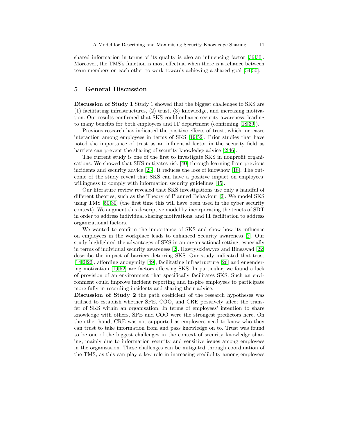shared information in terms of its quality is also an influencing factor [\[36,](#page-14-15)[30\]](#page-14-12). Moreover, the TMS's function is most effectual when there is a reliance between team members on each other to work towards achieving a shared goal [\[54,](#page-15-12)[50\]](#page-15-7).

# 5 General Discussion

Discussion of Study 1 Study 1 showed that the biggest challenges to SKS are (1) facilitating infrastructures, (2) trust, (3) knowledge, and increasing motivation. Our results confirmed that SKS could enhance security awareness, leading to many benefits for both employees and IT department (confirming [\[18,](#page-13-7)[39\]](#page-14-16)).

Previous research has indicated the positive effects of trust, which increases interaction among employees in terms of SKS [\[19](#page-13-9)[,52\]](#page-15-6). Prior studies that have noted the importance of trust as an influential factor in the security field as barriers can prevent the sharing of security knowledge advice [\[2,](#page-12-1)[46\]](#page-15-13).

The current study is one of the first to investigate SKS in nonprofit organisations. We showed that SKS mitigates risk [\[40\]](#page-15-14) through learning from previous incidents and security advice [\[23\]](#page-14-3). It reduces the loss of knowhow [\[18\]](#page-13-7), The outcome of the study reveal that SKS can have a positive impact on employees' willingness to comply with information security guidelines [\[45\]](#page-15-3).

Our literature review revealed that SKS investigations use only a handful of different theories, such as the Theory of Planned Behaviour [\[2\]](#page-12-1). We model SKS using TMS [\[50,](#page-15-7)[30\]](#page-14-12) (the first time this will have been used in the cyber security context). We augment this descriptive model by incorporating the tenets of SDT in order to address individual sharing motivations, and IT facilitation to address organizational factors.

We wanted to confirm the importance of SKS and show how its influence on employees in the workplace leads to enhanced Security awareness [\[2\]](#page-12-1). Our study highlighted the advantages of SKS in an organisational setting, especially in terms of individual security awareness [\[2\]](#page-12-1). Hawryszkiewycz and Binsawad [\[22\]](#page-14-17) describe the impact of barriers deterring SKS. Our study indicated that trust [\[14](#page-13-1)[,2](#page-12-1)[,22\]](#page-14-17), affording anonymity [\[49\]](#page-15-4), facilitating infrastructure [\[26\]](#page-14-18) and engendering motivation [\[19,](#page-13-9)[52\]](#page-15-6) are factors affecting SKS. In particular, we found a lack of provision of an environment that specifically facilitates SKS. Such an environment could improve incident reporting and inspire employees to participate more fully in recording incidents and sharing their advice.

Discussion of Study 2 the path coefficient of the research hypotheses was utilised to establish whether SPE, COO, and CRE positively affect the transfer of SKS within an organisation. In terms of employees' intention to share knowledge with others, SPE and COO were the strongest predictors here. On the other hand, CRE was not supported as employees need to know who they can trust to take information from and pass knowledge on to. Trust was found to be one of the biggest challenges in the context of security knowledge sharing, mainly due to information security and sensitive issues among employees in the organisation. These challenges can be mitigated through coordination of the TMS, as this can play a key role in increasing credibility among employees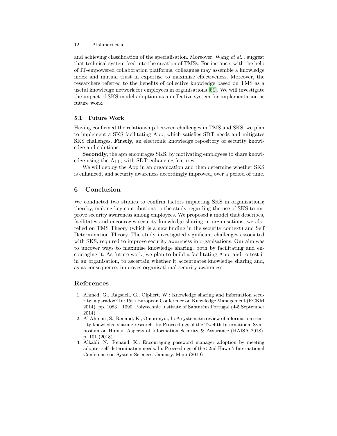and achieving classification of the specialisation. Moreover, Wang et al. . suggest that technical system feed into the creation of TMSs. For instance, with the help of IT-empowered collaboration platforms, colleagues may assemble a knowledge index and mutual trust in expertise to maximise effectiveness. Moreover, the researchers referred to the benefits of collective knowledge based on TMS as a useful knowledge network for employees in organisations [\[50\]](#page-15-7). We will investigate the impact of SKS model adoption as an effective system for implementation as future work.

#### <span id="page-12-2"></span>5.1 Future Work

Having confirmed the relationship between challenges in TMS and SKS, we plan to implement a SKS facilitating App, which satisfies SDT needs and mitigates SKS challenges. Firstly, an electronic knowledge repository of security knowledge and solutions.

Secondly, the app encourages SKS, by motivating employees to share knowledge using the App, with SDT enhancing features.

We will deploy the App in an organization and then determine whether SKS is enhanced, and security awareness accordingly improved, over a period of time.

# <span id="page-12-3"></span>6 Conclusion

We conducted two studies to confirm factors impacting SKS in organisations; thereby, making key contributions to the study regarding the use of SKS to improve security awareness among employees. We proposed a model that describes, facilitates and encourages security knowledge sharing in organisations; we also relied on TMS Theory (which is a new finding in the security context) and Self Determination Theory. The study investigated significant challenges associated with SKS, required to improve security awareness in organisations. Our aim was to uncover ways to maximise knowledge sharing, both by facilitating and encouraging it. As future work, we plan to build a facilitating App, and to test it in an organisation, to ascertain whether it accentuates knowledge sharing and, as as consequence, improves organisational security awareness.

#### References

- <span id="page-12-0"></span>1. Ahmed, G., Ragsdell, G., Olphert, W.: Knowledge sharing and information security: a paradox? In: 15th European Conference on Knowledge Management (ECKM 2014). pp. 1083 – 1090. Polytechnic Institute of Santarém Portugal (4-5 September 2014)
- <span id="page-12-1"></span>2. Al Ahmari, S., Renaud, K., Omoronyia, I.: A systematic review of information security knowledge-sharing research. In: Proceedings of the Twelfth International Symposium on Human Aspects of Information Security & Assurance (HAISA 2018). p. 101 (2018)
- <span id="page-12-4"></span>3. Alkaldi, N., Renaud, K.: Encouraging password manager adoption by meeting adopter self-determination needs. In: Proceedings of the 52nd Hawai'i International Conference on System Sciences. January. Maui (2019)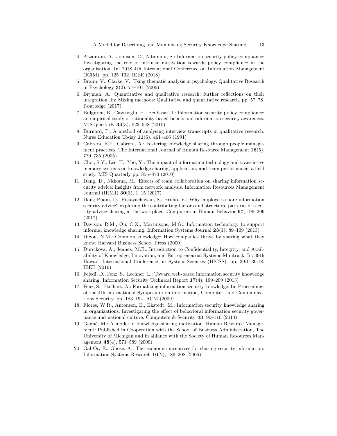A Model for Describing and Maximising Security Knowledge Sharing 13

- <span id="page-13-16"></span>4. Alzahrani, A., Johnson, C., Altamimi, S.: Information security policy compliance: Investigating the role of intrinsic motivation towards policy compliance in the organisation. In: 2018 4th International Conference on Information Management (ICIM). pp. 125–132. IEEE (2018)
- <span id="page-13-14"></span>5. Braun, V., Clarke, V.: Using thematic analysis in psychology. Qualitative Research in Psychology 3(2), 77–101 (2006)
- <span id="page-13-13"></span>6. Bryman, A.: Quantitative and qualitative research: further reflections on their integration. In: Mixing methods: Qualitative and quantitative research, pp. 57–78. Routledge (2017)
- <span id="page-13-2"></span>7. Bulgurcu, B., Cavusoglu, H., Benbasat, I.: Information security policy compliance: an empirical study of rationality-based beliefs and information security awareness. MIS quarterly 34(3), 523–548 (2010)
- <span id="page-13-12"></span>8. Burnard, P.: A method of analysing interview transcripts in qualitative research. Nurse Education Today 11(6), 461–466 (1991)
- <span id="page-13-10"></span>9. Cabrera, E.F., Cabrera, A.: Fostering knowledge sharing through people management practices. The International Journal of Human Resource Management  $16(5)$ , 720–735 (2005)
- <span id="page-13-11"></span>10. Choi, S.Y., Lee, H., Yoo, Y.: The impact of information technology and transactive memory systems on knowledge sharing, application, and team performance: a field study. MIS Quarterly pp. 855–870 (2010)
- <span id="page-13-0"></span>11. Dang, D., Nkhoma, M.: Effects of team collaboration on sharing information security advice: insights from network analysis. Information Resources Management Journal (IRMJ) 30(3), 1–15 (2017)
- <span id="page-13-4"></span>12. Dang-Pham, D., Pittayachawan, S., Bruno, V.: Why employees share information security advice? exploring the contributing factors and structural patterns of security advice sharing in the workplace. Computers in Human Behavior 67, 196–206 (2017)
- <span id="page-13-15"></span>13. Davison, R.M., Ou, C.X., Martinsons, M.G.: Information technology to support informal knowledge sharing. Information Systems Journal 23(1), 89–109 (2013)
- <span id="page-13-1"></span>14. Dixon, N.M.: Common knowledge: How companies thrive by sharing what they know. Harvard Business School Press (2000)
- <span id="page-13-3"></span>15. Durcikova, A., Jennex, M.E.: Introduction to Confidentiality, Integrity, and Availability of Knowledge, Innovation, and Entrepreneurial Systems Minitrack. In: 49th Hawai'i International Conference on System Sciences (HICSS). pp. 39:1–39:18. IEEE (2016)
- <span id="page-13-5"></span>16. Feledi, D., Fenz, S., Lechner, L.: Toward web-based information security knowledge sharing. Information Security Technical Report 17(4), 199–209 (2013)
- <span id="page-13-6"></span>17. Fenz, S., Ekelhart, A.: Formalizing information security knowledge. In: Proceedings of the 4th international Symposium on information, Computer, and Communications Security. pp. 183–194. ACM (2009)
- <span id="page-13-7"></span>18. Flores, W.R., Antonsen, E., Ekstedt, M.: Information security knowledge sharing in organizations: Investigating the effect of behavioral information security governance and national culture. Computers & Security 43, 90–110 (2014)
- <span id="page-13-9"></span>19. Gagné, M.: A model of knowledge-sharing motivation. Human Resource Management: Published in Cooperation with the School of Business Administration, The University of Michigan and in alliance with the Society of Human Resources Management 48(4), 571–589 (2009)
- <span id="page-13-8"></span>20. Gal-Or, E., Ghose, A.: The economic incentives for sharing security information. Information Systems Research 16(2), 186–208 (2005)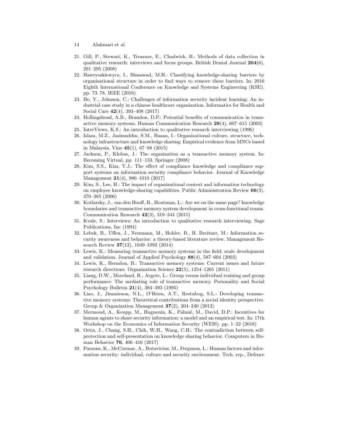- 14 Alahmari et al.
- <span id="page-14-6"></span>21. Gill, P., Stewart, K., Treasure, E., Chadwick, B.: Methods of data collection in qualitative research: interviews and focus groups. British Dental Journal  $204(6)$ , 291–295 (2008)
- <span id="page-14-17"></span>22. Hawryszkiewycz, I., Binsawad, M.H.: Classifying knowledge-sharing barriers by organisational structure in order to find ways to remove these barriers. In: 2016 Eighth International Conference on Knowledge and Systems Engineering (KSE). pp. 73–78. IEEE (2016)
- <span id="page-14-3"></span>23. He, Y., Johnson, C.: Challenges of information security incident learning: An industrial case study in a chinese healthcare organization. Informatics for Health and Social Care 42(4), 393–408 (2017)
- <span id="page-14-14"></span>24. Hollingshead, A.B., Brandon, D.P.: Potential benefits of communication in transactive memory systems. Human Communication Research 29(4), 607–615 (2003)
- <span id="page-14-7"></span>25. InterViews, K.S.: An introduction to qualitative research interviewing (1996)
- <span id="page-14-18"></span>26. Islam, M.Z., Jasimuddin, S.M., Hasan, I.: Organizational culture, structure, technology infrastructure and knowledge sharing: Empirical evidence from MNCs based in Malaysia. Vine 45(1), 67–88 (2015)
- <span id="page-14-10"></span>27. Jackson, P., Klobas, J.: The organization as a transactive memory system. In: Becoming Virtual, pp. 111–133. Springer (2008)
- <span id="page-14-4"></span>28. Kim, S.S., Kim, Y.J.: The effect of compliance knowledge and compliance support systems on information security compliance behavior. Journal of Knowledge Management 21(4), 986–1010 (2017)
- <span id="page-14-2"></span>29. Kim, S., Lee, H.: The impact of organizational context and information technology on employee knowledge-sharing capabilities. Public Administration Review 66(3), 370–385 (2006)
- <span id="page-14-12"></span>30. Kotlarsky, J., van den Hooff, B., Houtman, L.: Are we on the same page? knowledge boundaries and transactive memory system development in cross-functional teams. Communication Research 42(3), 319–344 (2015)
- <span id="page-14-8"></span>31. Kvale, S.: Interviews: An introduction to qualitative research interviewing. Sage Publications, Inc (1994)
- <span id="page-14-5"></span>32. Lebek, B., Uffen, J., Neumann, M., Hohler, B., H. Breitner, M.: Information security awareness and behavior: a theory-based literature review. Management Research Review 37(12), 1049–1092 (2014)
- <span id="page-14-13"></span>33. Lewis, K.: Measuring transactive memory systems in the field: scale development and validation. Journal of Applied Psychology 88(4), 587–604 (2003)
- <span id="page-14-9"></span>34. Lewis, K., Herndon, B.: Transactive memory systems: Current issues and future research directions. Organization Science 22(5), 1254–1265 (2011)
- <span id="page-14-11"></span>35. Liang, D.W., Moreland, R., Argote, L.: Group versus individual training and group performance: The mediating role of transactive memory. Personality and Social Psychology Bulletin 21(4), 384–393 (1995)
- <span id="page-14-15"></span>36. Liao, J., Jimmieson, N.L., O'Brien, A.T., Restubog, S.L.: Developing transactive memory systems: Theoretical contributions from a social identity perspective. Group & Organization Management  $37(2)$ , 204-240 (2012)
- <span id="page-14-0"></span>37. Mermoud, A., Keupp, M., Huguenin, K., Palmié, M., David, D.P.: Incentives for human agents to share security information: a model and an empirical test. In: 17th Workshop on the Economics of Information Security (WEIS). pp. 1–22 (2018)
- <span id="page-14-1"></span>38. Ortiz, J., Chang, S.H., Chih, W.H., Wang, C.H.: The contradiction between selfprotection and self-presentation on knowledge sharing behavior. Computers in Human Behavior 76, 406–416 (2017)
- <span id="page-14-16"></span>39. Parsons, K., McCormac, A., Butavicius, M., Ferguson, L.: Human factors and information security: individual, culture and security environment. Tech. rep., Defence